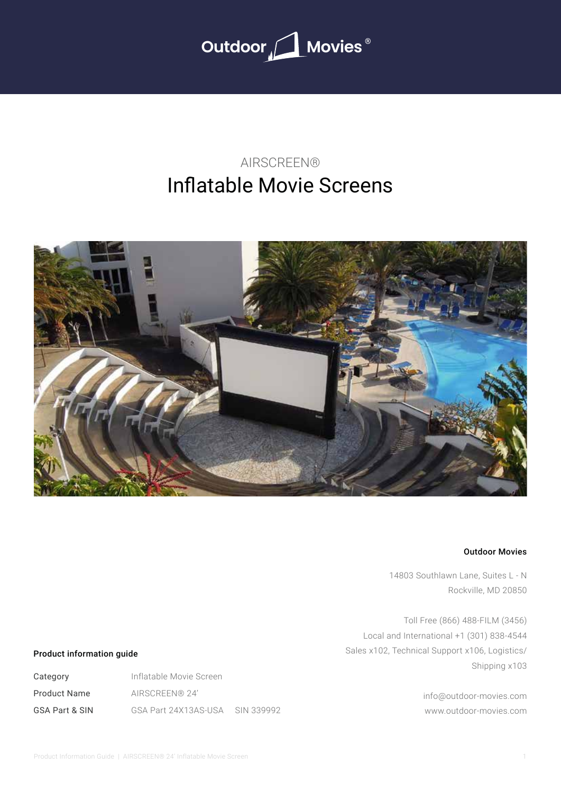

# Inflatable Movie Screens AIRSCREEN®



### Outdoor Movies

14803 Southlawn Lane, Suites L - N Rockville, MD 20850

Toll Free (866) 488-FILM (3456) Local and International +1 (301) 838-4544 Sales x102, Technical Support x106, Logistics/ Shipping x103

> info@outdoor-movies.com www.outdoor-movies.com

### Product information guide

Category Product Name GSA Part & SIN Inflatable Movie Screen AIRSCREEN® 24' GSA Part 24X13AS-USA SIN 339992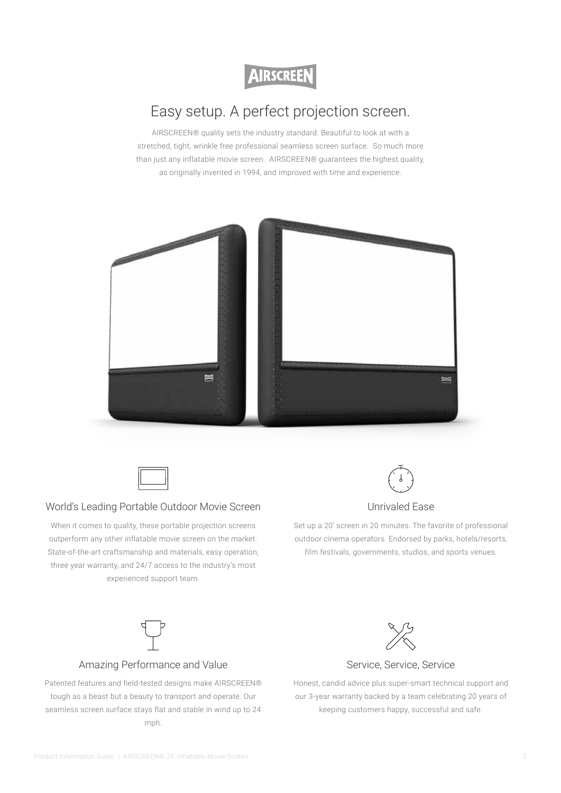**AIRSCREEN** 

# Easy setup. A perfect projection screen.

AIRSCREEN® quality sets the industry standard. Beautiful to look at with a stretched, tight, wrinkle free professional seamless screen surface. So much more than just any inflatable movie screen. AIRSCREEN® guarantees the highest quality, as originally invented in 1994, and improved with time and experience.





### World's Leading Portable Outdoor Movie Screen

When it comes to quality, these portable projection screens outperform any other inflatable movie screen on the market. State-of-the-art craftsmanship and materials, easy operation, three year warranty, and 24/7 access to the industry's most experienced support team.



### Unrivaled Ease

Set up a 20' screen in 20 minutes. The favorite of professional outdoor cinema operators. Endorsed by parks, hotels/resorts, film festivals, governments, studios, and sports venues.



Patented features and field-tested designs make AIRSCREEN® tough as a beast but a beauty to transport and operate. Our seamless screen surface stays flat and stable in wind up to 24 mph.



## Service, Service, Service

Honest, candid advice plus super-smart technical support and our 3-year warranty backed by a team celebrating 20 years of keeping customers happy, successful and safe.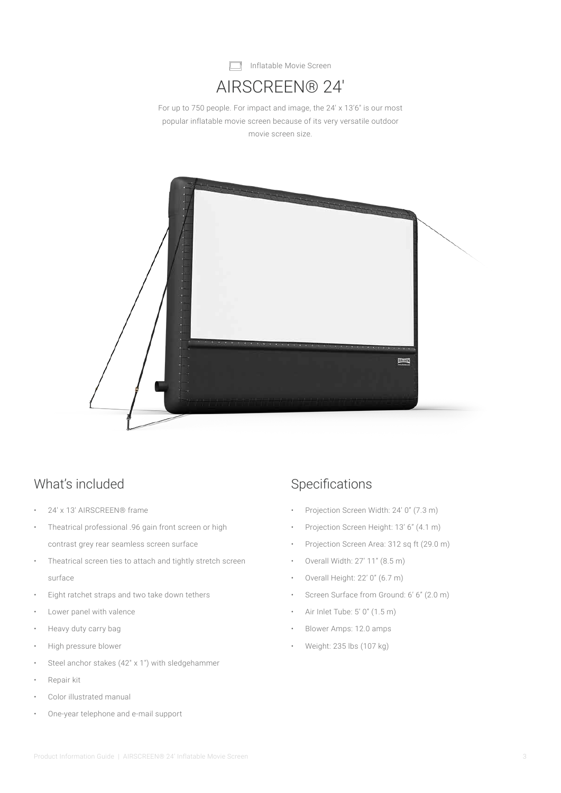

# AIRSCREEN® 24′

For up to 750 people. For impact and image, the 24′ x 13'6″ is our most popular inflatable movie screen because of its very versatile outdoor movie screen size.



## What's included Specifications

- 24′ x 13′ AIRSCREEN® frame
- Theatrical professional .96 gain front screen or high contrast grey rear seamless screen surface
- Theatrical screen ties to attach and tightly stretch screen surface
- Eight ratchet straps and two take down tethers
- Lower panel with valence
- Heavy duty carry bag
- High pressure blower
- Steel anchor stakes (42" x 1") with sledgehammer
- Repair kit
- Color illustrated manual
- One-year telephone and e-mail support

- Projection Screen Width: 24' 0" (7.3 m)
- Projection Screen Height: 13' 6" (4.1 m)
- Projection Screen Area: 312 sq ft (29.0 m)
- Overall Width: 27' 11" (8.5 m)
- Overall Height: 22' 0" (6.7 m)
- Screen Surface from Ground: 6' 6" (2.0 m)
- Air Inlet Tube: 5' 0" (1.5 m)
- Blower Amps: 12.0 amps
- Weight: 235 lbs (107 kg)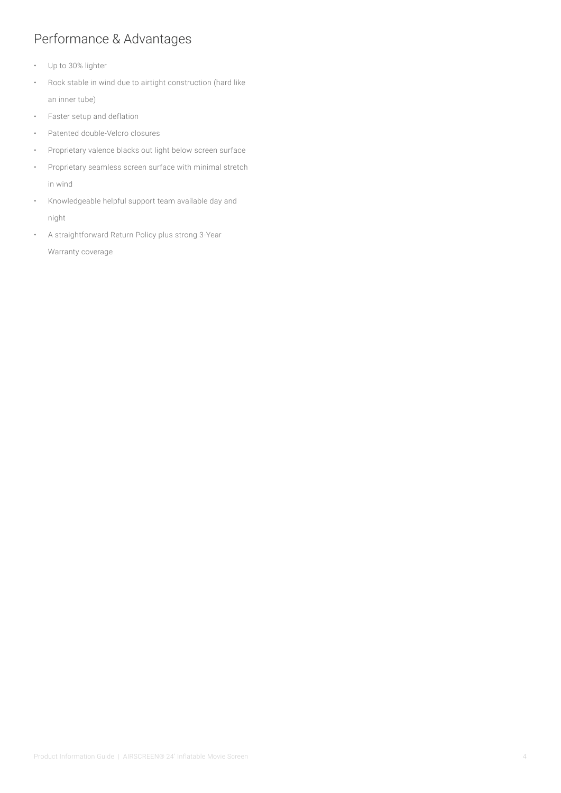## Performance & Advantages

- Up to 30% lighter
- Rock stable in wind due to airtight construction (hard like an inner tube)
- Faster setup and deflation
- Patented double-Velcro closures
- Proprietary valence blacks out light below screen surface
- Proprietary seamless screen surface with minimal stretch in wind
- Knowledgeable helpful support team available day and night
- A straightforward Return Policy plus strong 3-Year Warranty coverage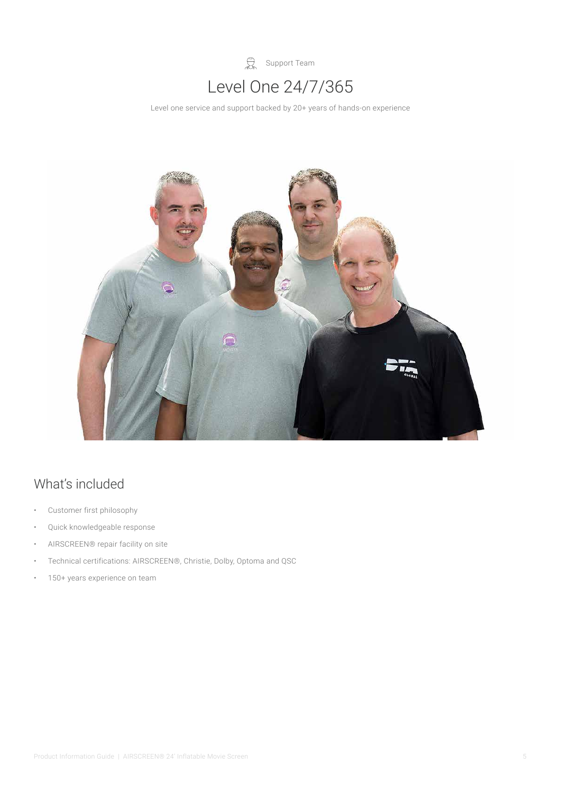

Level one service and support backed by 20+ years of hands-on experience



# What's included

- Customer first philosophy
- Quick knowledgeable response
- AIRSCREEN® repair facility on site
- Technical certifications: AIRSCREEN®, Christie, Dolby, Optoma and QSC
- 150+ years experience on team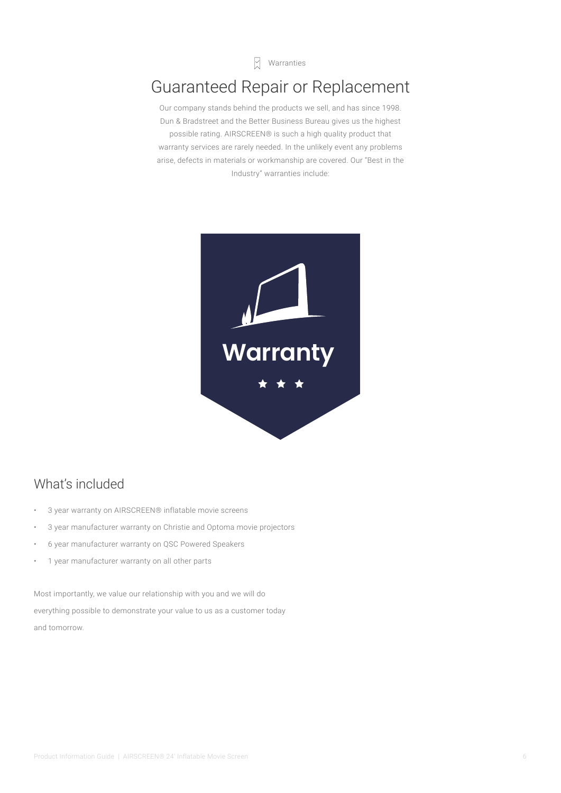$\sqrt{a}$  Warranties

# Guaranteed Repair or Replacement

Our company stands behind the products we sell, and has since 1998. Dun & Bradstreet and the Better Business Bureau gives us the highest possible rating. AIRSCREEN® is such a high quality product that warranty services are rarely needed. In the unlikely event any problems arise, defects in materials or workmanship are covered. Our "Best in the Industry" warranties include:



## What's included

- 3 year warranty on AIRSCREEN® inflatable movie screens
- 3 year manufacturer warranty on Christie and Optoma movie projectors
- 6 year manufacturer warranty on QSC Powered Speakers
- 1 year manufacturer warranty on all other parts

Most importantly, we value our relationship with you and we will do everything possible to demonstrate your value to us as a customer today and tomorrow.